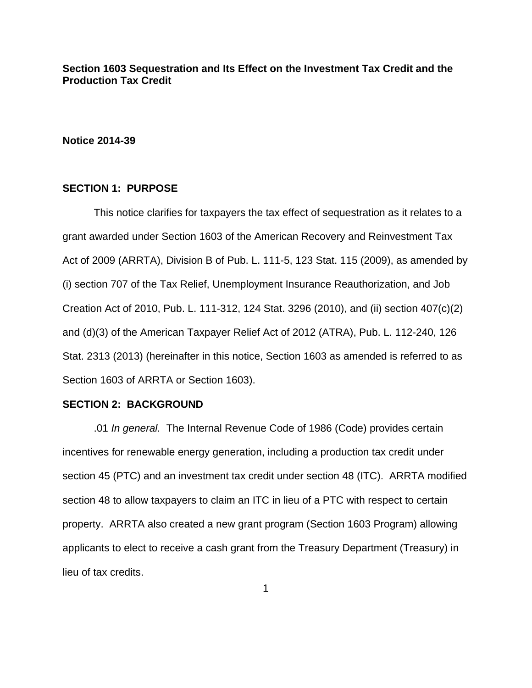**Section 1603 Sequestration and Its Effect on the Investment Tax Credit and the Production Tax Credit** 

#### **Notice 2014-39**

# **SECTION 1: PURPOSE**

This notice clarifies for taxpayers the tax effect of sequestration as it relates to a grant awarded under Section 1603 of the American Recovery and Reinvestment Tax Act of 2009 (ARRTA), Division B of Pub. L. 111-5, 123 Stat. 115 (2009), as amended by (i) section 707 of the Tax Relief, Unemployment Insurance Reauthorization, and Job Creation Act of 2010, Pub. L. 111-312, 124 Stat. 3296 (2010), and (ii) section 407(c)(2) and (d)(3) of the American Taxpayer Relief Act of 2012 (ATRA), Pub. L. 112-240, 126 Stat. 2313 (2013) (hereinafter in this notice, Section 1603 as amended is referred to as Section 1603 of ARRTA or Section 1603).

#### **SECTION 2: BACKGROUND**

.01 *In general.* The Internal Revenue Code of 1986 (Code) provides certain incentives for renewable energy generation, including a production tax credit under section 45 (PTC) and an investment tax credit under section 48 (ITC). ARRTA modified section 48 to allow taxpayers to claim an ITC in lieu of a PTC with respect to certain property. ARRTA also created a new grant program (Section 1603 Program) allowing applicants to elect to receive a cash grant from the Treasury Department (Treasury) in lieu of tax credits.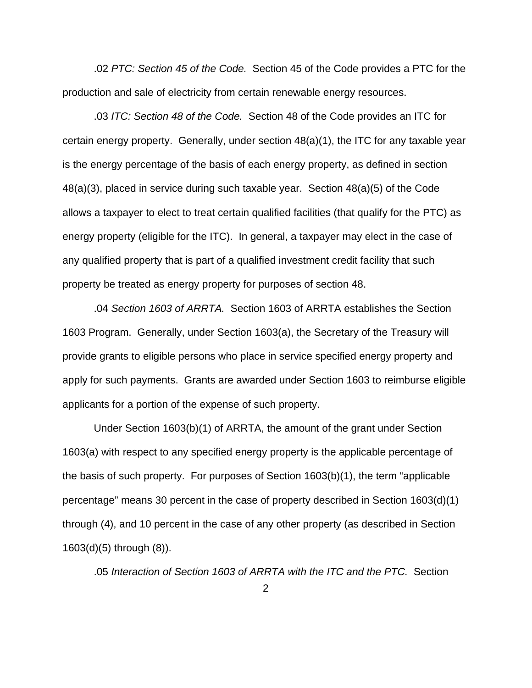.02 *PTC: Section 45 of the Code.* Section 45 of the Code provides a PTC for the production and sale of electricity from certain renewable energy resources.

.03 *ITC: Section 48 of the Code.* Section 48 of the Code provides an ITC for certain energy property. Generally, under section 48(a)(1), the ITC for any taxable year is the energy percentage of the basis of each energy property, as defined in section 48(a)(3), placed in service during such taxable year. Section 48(a)(5) of the Code allows a taxpayer to elect to treat certain qualified facilities (that qualify for the PTC) as energy property (eligible for the ITC). In general, a taxpayer may elect in the case of any qualified property that is part of a qualified investment credit facility that such property be treated as energy property for purposes of section 48.

.04 *Section 1603 of ARRTA.* Section 1603 of ARRTA establishes the Section 1603 Program. Generally, under Section 1603(a), the Secretary of the Treasury will provide grants to eligible persons who place in service specified energy property and apply for such payments. Grants are awarded under Section 1603 to reimburse eligible applicants for a portion of the expense of such property.

Under Section 1603(b)(1) of ARRTA, the amount of the grant under Section 1603(a) with respect to any specified energy property is the applicable percentage of the basis of such property. For purposes of Section 1603(b)(1), the term "applicable percentage" means 30 percent in the case of property described in Section 1603(d)(1) through (4), and 10 percent in the case of any other property (as described in Section 1603(d)(5) through (8)).

.05 *Interaction of Section 1603 of ARRTA with the ITC and the PTC.* Section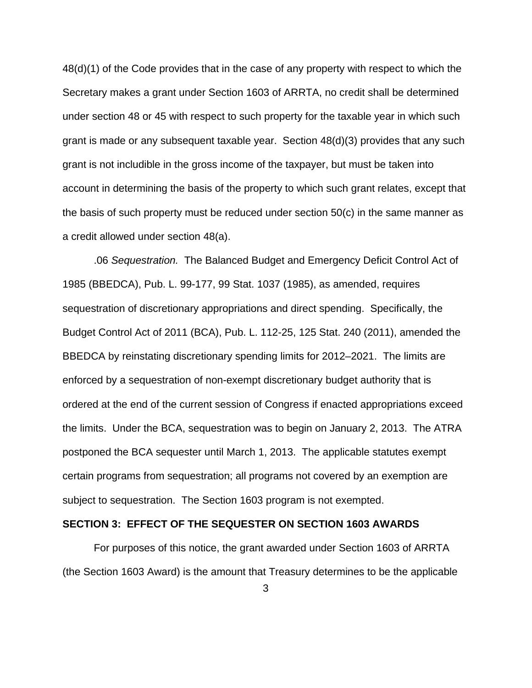48(d)(1) of the Code provides that in the case of any property with respect to which the Secretary makes a grant under Section 1603 of ARRTA, no credit shall be determined under section 48 or 45 with respect to such property for the taxable year in which such grant is made or any subsequent taxable year. Section 48(d)(3) provides that any such grant is not includible in the gross income of the taxpayer, but must be taken into account in determining the basis of the property to which such grant relates, except that the basis of such property must be reduced under section 50(c) in the same manner as a credit allowed under section 48(a).

.06 *Sequestration.* The Balanced Budget and Emergency Deficit Control Act of 1985 (BBEDCA), Pub. L. 99-177, 99 Stat. 1037 (1985), as amended, requires sequestration of discretionary appropriations and direct spending. Specifically, the Budget Control Act of 2011 (BCA), Pub. L. 112-25, 125 Stat. 240 (2011), amended the BBEDCA by reinstating discretionary spending limits for 2012–2021. The limits are enforced by a sequestration of non-exempt discretionary budget authority that is ordered at the end of the current session of Congress if enacted appropriations exceed the limits. Under the BCA, sequestration was to begin on January 2, 2013. The ATRA postponed the BCA sequester until March 1, 2013. The applicable statutes exempt certain programs from sequestration; all programs not covered by an exemption are subject to sequestration. The Section 1603 program is not exempted.

#### **SECTION 3: EFFECT OF THE SEQUESTER ON SECTION 1603 AWARDS**

For purposes of this notice, the grant awarded under Section 1603 of ARRTA (the Section 1603 Award) is the amount that Treasury determines to be the applicable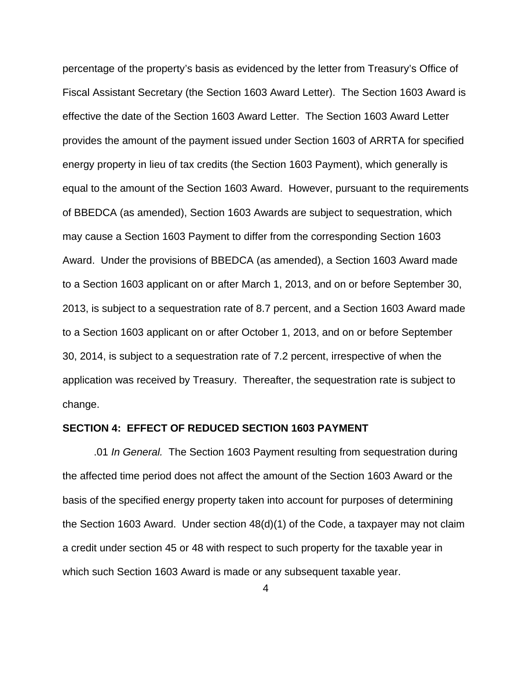percentage of the property's basis as evidenced by the letter from Treasury's Office of Fiscal Assistant Secretary (the Section 1603 Award Letter). The Section 1603 Award is effective the date of the Section 1603 Award Letter. The Section 1603 Award Letter provides the amount of the payment issued under Section 1603 of ARRTA for specified energy property in lieu of tax credits (the Section 1603 Payment), which generally is equal to the amount of the Section 1603 Award. However, pursuant to the requirements of BBEDCA (as amended), Section 1603 Awards are subject to sequestration, which may cause a Section 1603 Payment to differ from the corresponding Section 1603 Award. Under the provisions of BBEDCA (as amended), a Section 1603 Award made to a Section 1603 applicant on or after March 1, 2013, and on or before September 30, 2013, is subject to a sequestration rate of 8.7 percent, and a Section 1603 Award made to a Section 1603 applicant on or after October 1, 2013, and on or before September 30, 2014, is subject to a sequestration rate of 7.2 percent, irrespective of when the application was received by Treasury. Thereafter, the sequestration rate is subject to change.

## **SECTION 4: EFFECT OF REDUCED SECTION 1603 PAYMENT**

.01 *In General.* The Section 1603 Payment resulting from sequestration during the affected time period does not affect the amount of the Section 1603 Award or the basis of the specified energy property taken into account for purposes of determining the Section 1603 Award. Under section 48(d)(1) of the Code, a taxpayer may not claim a credit under section 45 or 48 with respect to such property for the taxable year in which such Section 1603 Award is made or any subsequent taxable year.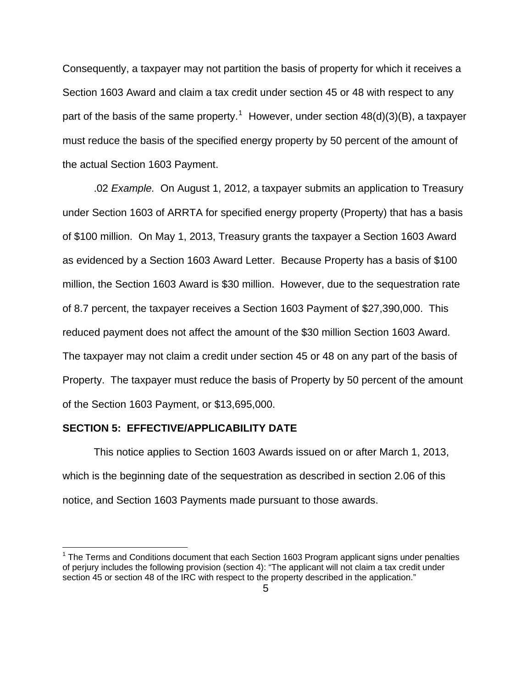Consequently, a taxpayer may not partition the basis of property for which it receives a Section 1603 Award and claim a tax credit under section 45 or 48 with respect to any part of the basis of the same property.<sup>[1](#page-4-0)</sup> However, under section  $48(d)(3)(B)$ , a taxpayer must reduce the basis of the specified energy property by 50 percent of the amount of the actual Section 1603 Payment.

.02 *Example.* On August 1, 2012, a taxpayer submits an application to Treasury under Section 1603 of ARRTA for specified energy property (Property) that has a basis of \$100 million. On May 1, 2013, Treasury grants the taxpayer a Section 1603 Award as evidenced by a Section 1603 Award Letter. Because Property has a basis of \$100 million, the Section 1603 Award is \$30 million. However, due to the sequestration rate of 8.7 percent, the taxpayer receives a Section 1603 Payment of \$27,390,000. This reduced payment does not affect the amount of the \$30 million Section 1603 Award. The taxpayer may not claim a credit under section 45 or 48 on any part of the basis of Property. The taxpayer must reduce the basis of Property by 50 percent of the amount of the Section 1603 Payment, or \$13,695,000.

## **SECTION 5: EFFECTIVE/APPLICABILITY DATE**

 $\overline{a}$ 

 This notice applies to Section 1603 Awards issued on or after March 1, 2013, which is the beginning date of the sequestration as described in section 2.06 of this notice, and Section 1603 Payments made pursuant to those awards.

<span id="page-4-0"></span> $1$  The Terms and Conditions document that each Section 1603 Program applicant signs under penalties of perjury includes the following provision (section 4): "The applicant will not claim a tax credit under section 45 or section 48 of the IRC with respect to the property described in the application."